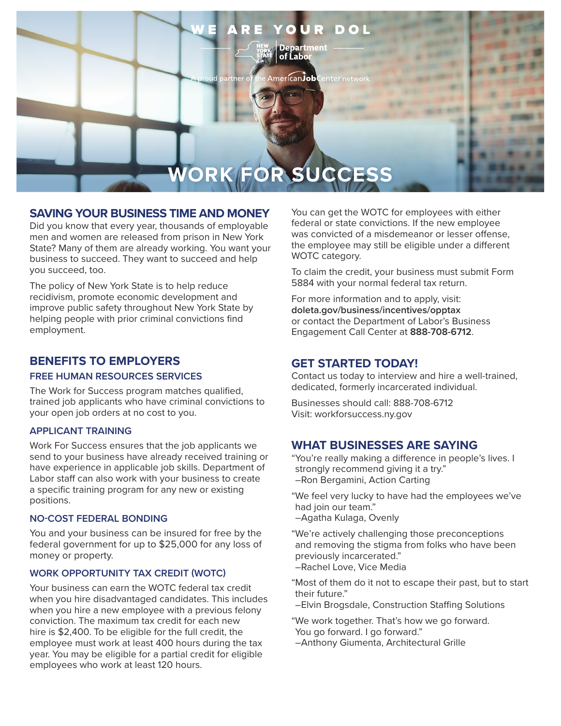

### **SAVING YOUR BUSINESS TIME AND MONEY**

Did you know that every year, thousands of employable men and women are released from prison in New York State? Many of them are already working. You want your business to succeed. They want to succeed and help you succeed, too.

The policy of New York State is to help reduce recidivism, promote economic development and improve public safety throughout New York State by helping people with prior criminal convictions find employment.

# **BENEFITS TO EMPLOYERS**

#### **FREE HUMAN RESOURCES SERVICES**

The Work for Success program matches qualified, trained job applicants who have criminal convictions to your open job orders at no cost to you.

### **APPLICANT TRAINING**

Work For Success ensures that the job applicants we send to your business have already received training or have experience in applicable job skills. Department of Labor staff can also work with your business to create a specific training program for any new or existing positions.

#### **NO-COST FEDERAL BONDING**

You and your business can be insured for free by the federal government for up to \$25,000 for any loss of money or property.

### **WORK OPPORTUNITY TAX CREDIT (WOTC)**

Your business can earn the WOTC federal tax credit when you hire disadvantaged candidates. This includes when you hire a new employee with a previous felony conviction. The maximum tax credit for each new hire is \$2,400. To be eligible for the full credit, the employee must work at least 400 hours during the tax year. You may be eligible for a partial credit for eligible employees who work at least 120 hours.

You can get the WOTC for employees with either federal or state convictions. If the new employee was convicted of a misdemeanor or lesser offense, the employee may still be eligible under a different WOTC category.

To claim the credit, your business must submit Form 5884 with your normal federal tax return.

For more information and to apply, visit: **[doleta.gov/business/incentives/opptax](http://www.doleta.gov/business/incentives/opptax)** or contact the Department of Labor's Business Engagement Call Center at **888-708-6712**.

### **GET STARTED TODAY!**

Contact us today to interview and hire a well-trained, dedicated, formerly incarcerated individual.

Businesses should call: 888-708-6712 Visit: [workforsuccess.ny.gov](http://www.workforsuccess.ny.gov)

## **WHAT BUSINESSES ARE SAYING**

"You're really making a difference in people's lives. I strongly recommend giving it a try." –Ron Bergamini, Action Carting

- "We feel very lucky to have had the employees we've had join our team."
- –Agatha Kulaga, Ovenly
- "We're actively challenging those preconceptions and removing the stigma from folks who have been previously incarcerated." –Rachel Love, Vice Media

"Most of them do it not to escape their past, but to start their future."

–Elvin Brogsdale, Construction Staffing Solutions

"We work together. That's how we go forward. You go forward. I go forward."

–Anthony Giumenta, Architectural Grille